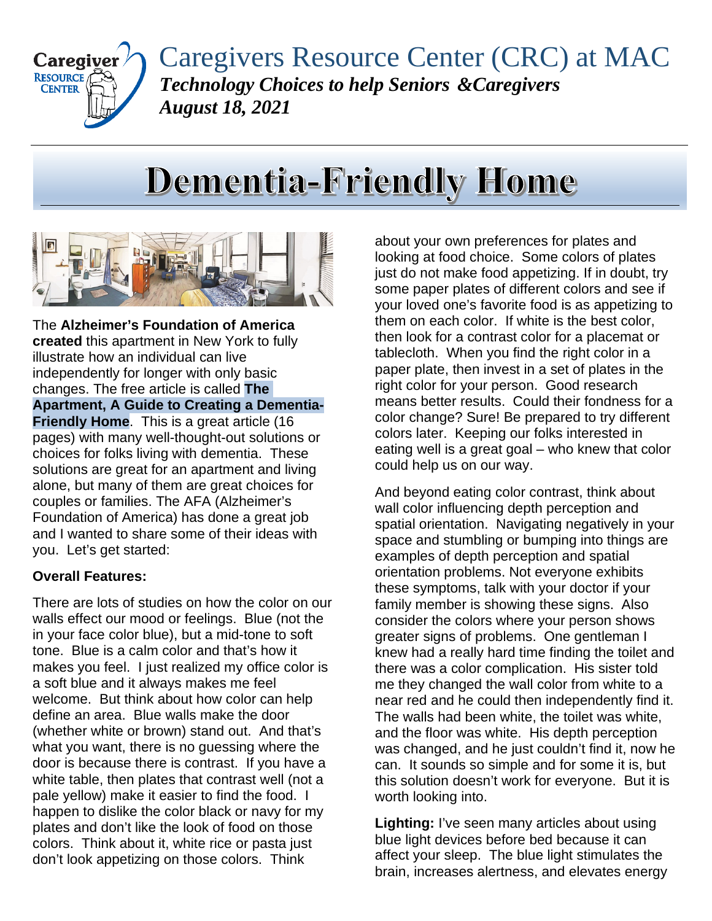

Caregivers Resource Center (CRC) at MAC *Technology Choices to help Seniors &Caregivers August 18, 2021*

## **Dementia-Friendly Home**



The **Alzheimer's Foundation of America created** this apartment in New York to fully illustrate how an individual can live independently for longer with only basic changes. The free article is called **The Apartment, A Guide to Creating a Dementia-Friendly Home**. This is a great article (16 pages) with many well-thought-out solutions or choices for folks living with dementia. These solutions are great for an apartment and living alone, but many of them are great choices for couples or families. The AFA (Alzheimer's Foundation of America) has done a great job and I wanted to share some of their ideas with you. Let's get started:

## **Overall Features:**

There are lots of studies on how the color on our walls effect our mood or feelings. Blue (not the in your face color blue), but a mid-tone to soft tone. Blue is a calm color and that's how it makes you feel. I just realized my office color is a soft blue and it always makes me feel welcome. But think about how color can help define an area. Blue walls make the door (whether white or brown) stand out. And that's what you want, there is no guessing where the door is because there is contrast. If you have a white table, then plates that contrast well (not a pale yellow) make it easier to find the food. I happen to dislike the color black or navy for my plates and don't like the look of food on those colors. Think about it, white rice or pasta just don't look appetizing on those colors. Think

about your own preferences for plates and looking at food choice. Some colors of plates just do not make food appetizing. If in doubt, try some paper plates of different colors and see if your loved one's favorite food is as appetizing to them on each color. If white is the best color, then look for a contrast color for a placemat or tablecloth. When you find the right color in a paper plate, then invest in a set of plates in the right color for your person. Good research means better results. Could their fondness for a color change? Sure! Be prepared to try different colors later. Keeping our folks interested in eating well is a great goal – who knew that color could help us on our way.

And beyond eating color contrast, think about wall color influencing depth perception and spatial orientation. Navigating negatively in your space and stumbling or bumping into things are examples of depth perception and spatial orientation problems. Not everyone exhibits these symptoms, talk with your doctor if your family member is showing these signs. Also consider the colors where your person shows greater signs of problems. One gentleman I knew had a really hard time finding the toilet and there was a color complication. His sister told me they changed the wall color from white to a near red and he could then independently find it. The walls had been white, the toilet was white, and the floor was white. His depth perception was changed, and he just couldn't find it, now he can. It sounds so simple and for some it is, but this solution doesn't work for everyone. But it is worth looking into.

**Lighting:** I've seen many articles about using blue light devices before bed because it can affect your sleep. The blue light stimulates the brain, increases alertness, and elevates energy